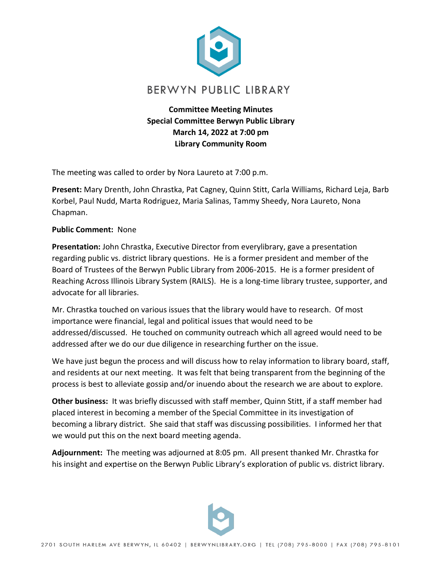

**Committee Meeting Minutes Special Committee Berwyn Public Library March 14, 2022 at 7:00 pm Library Community Room**

The meeting was called to order by Nora Laureto at 7:00 p.m.

**Present:** Mary Drenth, John Chrastka, Pat Cagney, Quinn Stitt, Carla Williams, Richard Leja, Barb Korbel, Paul Nudd, Marta Rodriguez, Maria Salinas, Tammy Sheedy, Nora Laureto, Nona Chapman.

## **Public Comment:** None

**Presentation:** John Chrastka, Executive Director from everylibrary, gave a presentation regarding public vs. district library questions. He is a former president and member of the Board of Trustees of the Berwyn Public Library from 2006-2015. He is a former president of Reaching Across Illinois Library System (RAILS). He is a long-time library trustee, supporter, and advocate for all libraries.

Mr. Chrastka touched on various issues that the library would have to research. Of most importance were financial, legal and political issues that would need to be addressed/discussed. He touched on community outreach which all agreed would need to be addressed after we do our due diligence in researching further on the issue.

We have just begun the process and will discuss how to relay information to library board, staff, and residents at our next meeting. It was felt that being transparent from the beginning of the process is best to alleviate gossip and/or inuendo about the research we are about to explore.

**Other business:** It was briefly discussed with staff member, Quinn Stitt, if a staff member had placed interest in becoming a member of the Special Committee in its investigation of becoming a library district. She said that staff was discussing possibilities. I informed her that we would put this on the next board meeting agenda.

**Adjournment:** The meeting was adjourned at 8:05 pm. All present thanked Mr. Chrastka for his insight and expertise on the Berwyn Public Library's exploration of public vs. district library.